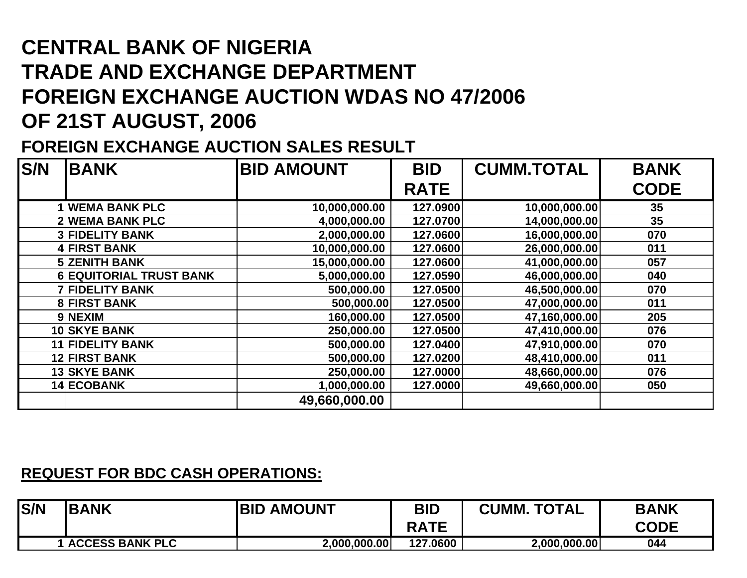## **CENTRAL BANK OF NIGERIA TRADE AND EXCHANGE DEPARTMENT FOREIGN EXCHANGE AUCTION WDAS NO 47/2006 OF 21ST AUGUST, 2006**

## **FOREIGN EXCHANGE AUCTION SALES RESULT**

| <b>S/N</b> | <b>BANK</b>                    | <b>BID AMOUNT</b> | <b>BID</b>  | <b>CUMM.TOTAL</b> | <b>BANK</b> |
|------------|--------------------------------|-------------------|-------------|-------------------|-------------|
|            |                                |                   | <b>RATE</b> |                   | <b>CODE</b> |
|            | <b>1 WEMA BANK PLC</b>         | 10,000,000.00     | 127.0900    | 10,000,000.00     | 35          |
|            | <b>2 WEMA BANK PLC</b>         | 4,000,000.00      | 127.0700    | 14,000,000.00     | 35          |
|            | <b>3 FIDELITY BANK</b>         | 2,000,000.00      | 127.0600    | 16,000,000.00     | 070         |
|            | 4 FIRST BANK                   | 10,000,000.00     | 127.0600    | 26,000,000.00     | 011         |
|            | <b>5 ZENITH BANK</b>           | 15,000,000.00     | 127.0600    | 41,000,000.00     | 057         |
|            | <b>6 EQUITORIAL TRUST BANK</b> | 5,000,000.00      | 127.0590    | 46,000,000.00     | 040         |
|            | <b>7 FIDELITY BANK</b>         | 500,000.00        | 127.0500    | 46,500,000.00     | 070         |
|            | <b>8 FIRST BANK</b>            | 500,000.00        | 127.0500    | 47,000,000.00     | 011         |
|            | 9 NEXIM                        | 160,000.00        | 127.0500    | 47,160,000.00     | 205         |
|            | <b>10 SKYE BANK</b>            | 250,000.00        | 127.0500    | 47,410,000.00     | 076         |
|            | <b>11 FIDELITY BANK</b>        | 500,000.00        | 127.0400    | 47,910,000.00     | 070         |
|            | <b>12 FIRST BANK</b>           | 500,000.00        | 127.0200    | 48,410,000.00     | 011         |
|            | <b>13 SKYE BANK</b>            | 250,000.00        | 127.0000    | 48,660,000.00     | 076         |
|            | 14 ECOBANK                     | 1,000,000.00      | 127.0000    | 49,660,000.00     | 050         |
|            |                                | 49,660,000.00     |             |                   |             |

## **REQUEST FOR BDC CASH OPERATIONS:**

| <b>IS/N</b> | <b>BANK</b>              | <b>IBID AMOUNT</b> | BID<br><b>RATE</b> | <b>CUMM. TOTAL</b> | <b>BANK</b><br><b>CODE</b> |
|-------------|--------------------------|--------------------|--------------------|--------------------|----------------------------|
|             | <b>1 ACCESS BANK PLC</b> | 2,000,000.00       | 127.0600           | 2,000,000.00       | 044                        |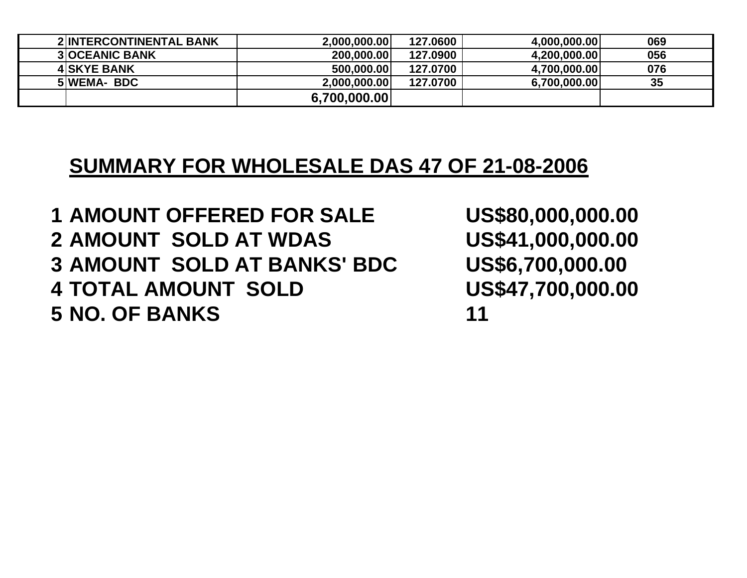| <b>2 INTERCONTINENTAL BANK</b> | 2.000.000.00 | 127.0600 | 4,000,000.00 | 069 |
|--------------------------------|--------------|----------|--------------|-----|
| <b>3 OCEANIC BANK</b>          | 200,000,00   | 127.0900 | 4,200,000.00 | 056 |
| <b>4 SKYE BANK</b>             | 500,000,00   | 127.0700 | 4,700,000.00 | 076 |
| 5 WEMA-BDC                     | 2.000.000.00 | 127.0700 | 6,700,000.00 | 35  |
|                                | 6,700,000.00 |          |              |     |

## **SUMMARY FOR WHOLESALE DAS 47 OF 21-08-2006**

 **AMOUNT OFFERED FOR SALE US\$80,000,000.00 AMOUNT SOLD AT WDAS US\$41,000,000.00 AMOUNT SOLD AT BANKS' BDC US\$6,700,000.00 TOTAL AMOUNT SOLD US\$47,700,000.00 NO. OF BANKS 11**